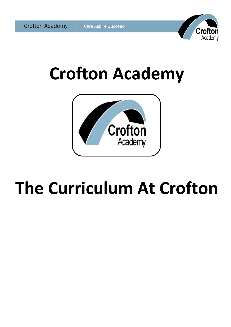



# **Crofton Academy**



# **The Curriculum At Crofton**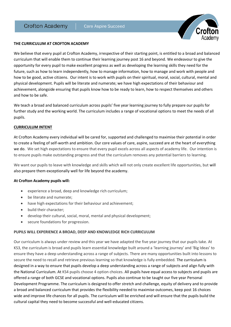

#### **THE CURRICULUM AT CROFTON ACADEMY**

We believe that every pupil at Crofton Academy, irrespective of their starting point, is entitled to a broad and balanced curriculum that will enable them to continue their learning journey post 16 and beyond. We endeavour to give the opportunity for every pupil to make excellent progress as well as developing the learning skills they need for the future, such as how to learn independently, how to manage information, how to manage and work with people and how to be good, active citizens. Our intent is to work with pupils on their spiritual, moral, social, cultural, mental and physical development. Pupils will be literate and numerate; we have high expectations of their behaviour and achievement, alongside ensuring that pupils know how to be ready to learn, how to respect themselves and others and how to be safe.

We teach a broad and balanced curriculum across pupils' five year learning journey to fully prepare our pupils for further study and the working world. The curriculum includes a range of vocational options to meet the needs of all pupils.

#### **CURRICULUM INTENT**

At Crofton Academy every individual will be cared for, supported and challenged to maximise their potential in order to create a feeling of self-worth and ambition. Our core values of care, aspire, succeed are at the heart of everything we do. We set high expectations to ensure that every pupil excels across all aspects of academy life. Our intention is to ensure pupils make outstanding progress and that the curriculum removes any potential barriers to learning.

We want our pupils to leave with knowledge and skills which will not only create excellent life opportunities, but will also prepare them exceptionally well for life beyond the academy.

#### **At Crofton Academy pupils will:**

- experience a broad, deep and knowledge rich curriculum;
- be literate and numerate;
- have high expectations for their behaviour and achievement;
- build their character;
- develop their cultural, social, moral, mental and physical development;
- secure foundations for progression.

## **PUPILS WILL EXPERIENCE A BROAD, DEEP AND KNOWLEDGE RICH CURRICULUM**

Our curriculum is always under review and this year we have adapted the five year journey that our pupils take. At KS3, the curriculum is broad and pupils learn essential knowledge built around a 'learning journey' and 'Big Ideas' to ensure they have a deep understanding across a range of subjects. There are many opportunities built into lessons to secure the need to recall and retrieve previous learning so that knowledge is fully embedded. The curriculum is designed in a way to ensure that pupils develop a deep understanding across a range of subjects and align fully with the National Curriculum. At KS4 pupils choose 4 option choices. All pupils have equal access to subjects and pupils are offered a range of both GCSE and vocational options. Pupils also continue to be taught our five year Personal Development Programme. The curriculum is designed to offer stretch and challenge, equity of delivery and to provide a broad and balanced curriculum that provides the flexibility needed to maximise outcomes, keep post 16 choices wide and improve life chances for all pupils. The curriculum will be enriched and will ensure that the pupils build the cultural capital they need to become successful and well-educated citizens.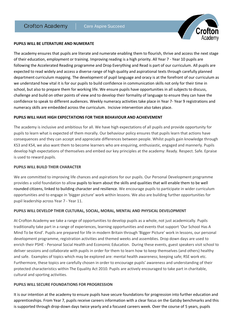

#### **PUPILS WILL BE LITERATURE AND NUMERATE**

The academy ensures that pupils are literate and numerate enabling them to flourish, thrive and access the next stage of their education, employment or training. Improving reading is a high priority. All Year 7 - Year 10 pupils are following the Accelerated Reading programme and Drop Everything and Read is part of our curriculum. All pupils are expected to read widely and access a diverse range of high quality and aspirational texts through carefully planned department curriculum mapping. The development of pupil language and oracy is at the forefront of our curriculum as we understand how vital it is for our pupils to build confidence in communication skills not only for their time in school, but also to prepare them for working life. We ensure pupils have opportunities in all subjects to discuss, challenge and build on other points of view and to develop their formality of language to ensure they can have the confidence to speak to different audiences. Weekly numeracy activities take place in Year 7- Year 9 registrations and numeracy skills are embedded across the curriculum. Incisive intervention also takes place.

#### **PUPILS WILL HAVE HIGH EXPECTATIONS FOR THEIR BEHAVIOUR AND ACHIEVEMENT**

The academy is inclusive and ambitious for all. We have high expectations of all pupils and provide opportunity for pupils to learn what is expected of them morally. Our behaviour policy ensures that pupils learn that actions have consequences and they can accept and appreciate differences between people. Whilst pupils gain knowledge through KS3 and KS4, we also want them to become learners who are enquiring, enthusiastic, engaged and mannerly. Pupils develop high expectations of themselves and embed our key principles at the academy: Ready. Respect. Safe. Epraise is used to reward pupils.

## **PUPILS WILL BUILD THEIR CHARACTER**

We are committed to improving life chances and aspirations for our pupils. Our Personal Development programme provides a solid foundation to allow pupils to learn about the skills and qualities that will enable them to be well rounded citizens, linked to building character and resilience. We encourage pupils to participate in wider curriculum opportunities and to engage in 'bigger picture' work within lessons. We also are building further opportunities for pupil leadership across Year 7 - Year 11.

# **PUPILS WILL DEVELOP THEIR CULTURAL, SOCIAL, MORAL, MENTAL AND PHYSICAL DEVELOPMENT**

At Crofton Academy we take a range of opportunities to develop pupils as a whole, not just academically. Pupils traditionally take part in a range of experiences, learning opportunities and events that support 'Our School Has A Mind To be Kind'. Pupils are prepared for life in modern Britain through 'Bigger Picture' work in lessons, our personal development programme, registration activities and themed weeks and assemblies. Drop down days are used to enrich their PSHE - Personal Social Health and Economic Education. During these events, guest speakers visit school to deliver sessions and collaborate with pupils in order for them to learn how to keep themselves (and others) healthy and safe. Examples of topics which may be explored are: mental health awareness; keeping safe; RSE work etc. Furthermore, these topics are carefully chosen in order to encourage pupils' awareness and understanding of their protected characteristics within The Equality Act 2010. Pupils are actively encouraged to take part in charitable, cultural and sporting activities.

## **PUPILS WILL SECURE FOUNDATIONS FOR PROGRESSION**

It is our intention at the academy to ensure pupils have secure foundations for progression into further education and apprenticeships. From Year 7, pupils receive careers information with a clear focus on the Gatsby benchmarks and this is supported through drop-down days twice yearly and a focused careers week. Over the course of 5 years, pupils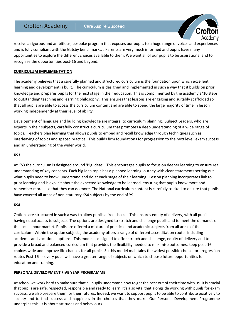

receive a rigorous and ambitious, bespoke program that exposes our pupils to a huge range of voices and experiences and is fully compliant with the Gatsby benchmarks. . Parents are very much informed and pupils have many opportunities to explore the different choices available to them. We want all of our pupils to be aspirational and to recognise the opportunities post-16 and beyond.

# **CURRICULUM IMPLEMENTATION**

The academy believes that a carefully planned and structured curriculum is the foundation upon which excellent learning and development is built. The curriculum is designed and implemented in such a way that it builds on prior knowledge and prepares pupils for the next stage in their education. This is complimented by the academy's '10 steps to outstanding' teaching and learning philosophy. This ensures that lessons are engaging and suitably scaffolded so that all pupils are able to access the curriculum content and are able to spend the large majority of time in lesson working independently at their level of ability.

Development of language and building knowledge are integral to curriculum planning. Subject Leaders, who are experts in their subjects, carefully construct a curriculum that promotes a deep understanding of a wide range of topics. Teachers plan learning that allows pupils to embed and recall knowledge through techniques such as interleaving of topics and spaced practice. This builds firm foundations for progression to the next level, exam success and an understanding of the wider world.

## **KS3**

At KS3 the curriculum is designed around 'Big Ideas'. This encourages pupils to focus on deeper learning to ensure real understanding of key concepts. Each big idea topic has a planned learning journey with clear statements setting out what pupils need to know, understand and do at each stage of their learning. Lesson planning incorporates link to prior learning and is explicit about the expected knowledge to be learned, ensuring that pupils know more and remember more – so that they can do more. The National curriculum content is carefully tracked to ensure that pupils have covered all areas of non-statutory KS4 subjects by the end of Y9.

## **KS4**

Options are structured in such a way to allow pupils a free choice. This ensures equity of delivery, with all pupils having equal access to subjects. The options are designed to stretch and challenge pupils and to meet the demands of the local labour market. Pupils are offered a mixture of practical and academic subjects from all areas of the curriculum. Within the option subjects, the academy offers a range of different accreditation routes including academic and vocational options. This model is designed to offer stretch and challenge, equity of delivery and to provide a broad and balanced curriculum that provides the flexibility needed to maximise outcomes, keep post-16 choices wide and improve life chances for all pupils. So this model maintains the widest possible choice for progression routes Post 16 as every pupil will have a greater range of subjects on which to choose future opportunities for education and training.

# **PERSONAL DEVELOPMENT FIVE YEAR PROGRAMME**

At school we work hard to make sure that all pupils understand how to get the best out of their time with us. It is crucial that pupils are safe, respected, responsible and ready to learn. It's also vital that alongside working with pupils for exam success, we also prepare them for their futures. Indeed, we want to support pupils to be able to contribute positively to society and to find success and happiness in the choices that they make. Our Personal Development Programme underpins this. It is about attitudes and behaviours.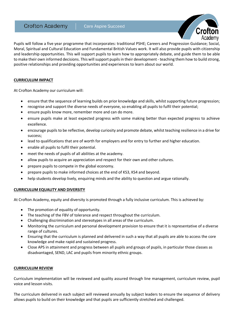

Pupils will follow a five year programme that incorporates: traditional PSHE; Careers and Progression Guidance; Social, Moral, Spiritual and Cultural Education and Fundamental British Values work. It will also provide pupils with citizenship and leadership opportunities. This will support pupils to learn how to appropriately debate, and guide them to be able to make their own informed decisions. This will support pupils in their development - teaching them how to build strong, positive relationships and providing opportunities and experiences to learn about our world.

# **CURRICULUM IMPACT**

At Crofton Academy our curriculum will:

- ensure that the sequence of learning builds on prior knowledge and skills, whilst supporting future progression;
- recognise and support the diverse needs of everyone, so enabling all pupils to fulfil their potential;
- ensure pupils know more, remember more and can do more.
- ensure pupils make at least expected progress with some making better than expected progress to achieve excellence.
- encourage pupils to be reflective, develop curiosity and promote debate, whilst teaching resilience in a drive for success;
- lead to qualifications that are of worth for employers and for entry to further and higher education.
- enable all pupils to fulfil their potential.
- meet the needs of pupils of all abilities at the academy.
- allow pupils to acquire an appreciation and respect for their own and other cultures.
- prepare pupils to compete in the global economy.
- prepare pupils to make informed choices at the end of KS3, KS4 and beyond.
- help students develop lively, enquiring minds and the ability to question and argue rationally.

## **CURRICULUM EQUALITY AND DIVERSITY**

At Crofton Academy, equity and diversity is promoted through a fully inclusive curriculum. This is achieved by:

- The promotion of equality of opportunity.
- The teaching of the FBV of tolerance and respect throughout the curriculum.
- Challenging discrimination and stereotypes in all areas of the curriculum.
- Monitoring the curriculum and personal development provision to ensure that it is representative of a diverse range of cultures.
- Ensuring that the curriculum is planned and delivered in such a way that all pupils are able to access the core knowledge and make rapid and sustained progress.
- Close APS in attainment and progress between all pupils and groups of pupils, in particular those classes as disadvantaged, SEND, LAC and pupils from minority ethnic groups.

## **CURRICULUM REVIEW**

Curriculum implementation will be reviewed and quality assured through line management, curriculum review, pupil voice and lesson visits.

The curriculum delivered in each subject will reviewed annually by subject leaders to ensure the sequence of delivery allows pupils to build on their knowledge and that pupils are sufficiently stretched and challenged.